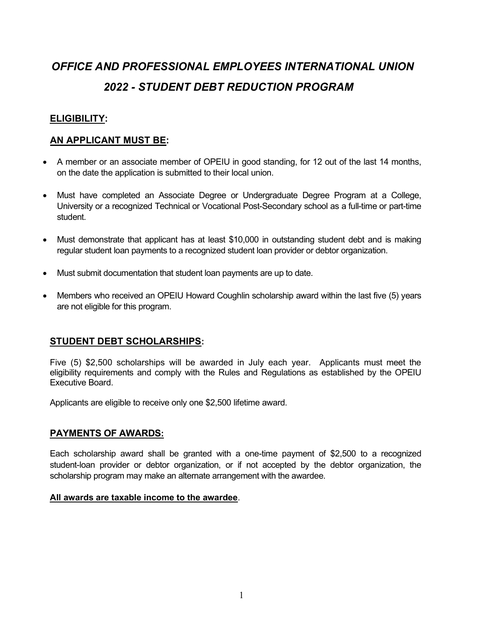# OFFICE AND PROFESSIONAL EMPLOYEES INTERNATIONAL UNION 2022 - STUDENT DEBT REDUCTION PROGRAM

#### ELIGIBILITY:

#### AN APPLICANT MUST BE:

- A member or an associate member of OPEIU in good standing, for 12 out of the last 14 months, on the date the application is submitted to their local union.
- Must have completed an Associate Degree or Undergraduate Degree Program at a College, University or a recognized Technical or Vocational Post-Secondary school as a full-time or part-time student.
- Must demonstrate that applicant has at least \$10,000 in outstanding student debt and is making regular student loan payments to a recognized student loan provider or debtor organization.
- Must submit documentation that student loan payments are up to date.
- Members who received an OPEIU Howard Coughlin scholarship award within the last five (5) years are not eligible for this program.

#### STUDENT DEBT SCHOLARSHIPS:

Five (5) \$2,500 scholarships will be awarded in July each year. Applicants must meet the eligibility requirements and comply with the Rules and Regulations as established by the OPEIU Executive Board.

Applicants are eligible to receive only one \$2,500 lifetime award.

#### PAYMENTS OF AWARDS:

Each scholarship award shall be granted with a one-time payment of \$2,500 to a recognized student-loan provider or debtor organization, or if not accepted by the debtor organization, the scholarship program may make an alternate arrangement with the awardee.

#### All awards are taxable income to the awardee.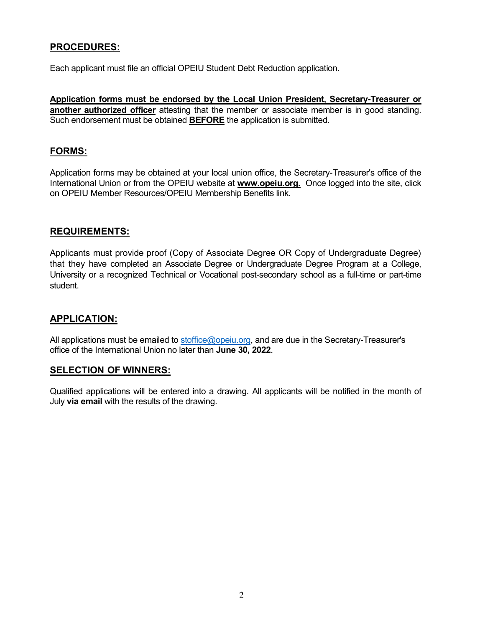## PROCEDURES:

Each applicant must file an official OPEIU Student Debt Reduction application.

Application forms must be endorsed by the Local Union President, Secretary-Treasurer or another authorized officer attesting that the member or associate member is in good standing. Such endorsement must be obtained **BEFORE** the application is submitted.

#### FORMS:

Application forms may be obtained at your local union office, the Secretary-Treasurer's office of the International Union or from the OPEIU website at **www.opeiu.org.** Once logged into the site, click on OPEIU Member Resources/OPEIU Membership Benefits link.

#### REQUIREMENTS:

Applicants must provide proof (Copy of Associate Degree OR Copy of Undergraduate Degree) that they have completed an Associate Degree or Undergraduate Degree Program at a College, University or a recognized Technical or Vocational post-secondary school as a full-time or part-time student.

### APPLICATION:

All applications must be emailed to stoffice@opeiu.org, and are due in the Secretary-Treasurer's office of the International Union no later than June 30, 2022.

#### SELECTION OF WINNERS:

Qualified applications will be entered into a drawing. All applicants will be notified in the month of July via email with the results of the drawing.